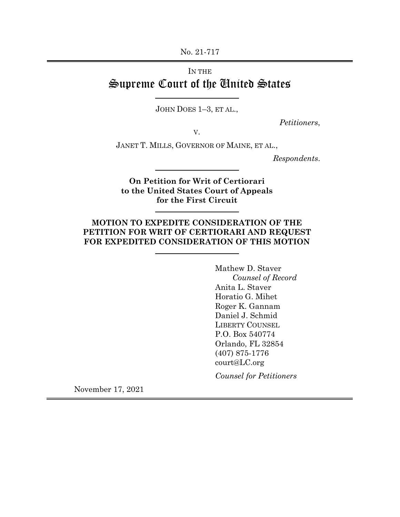No. 21-717

# IN THE Supreme Court of the United States

JOHN DOES 1–3, ET AL.,

*Petitioners*,

V.

JANET T. MILLS, GOVERNOR OF MAINE, ET AL.,

*Respondents*.

**On Petition for Writ of Certiorari to the United States Court of Appeals for the First Circuit**

## **MOTION TO EXPEDITE CONSIDERATION OF THE PETITION FOR WRIT OF CERTIORARI AND REQUEST FOR EXPEDITED CONSIDERATION OF THIS MOTION**

Mathew D. Staver *Counsel of Record* Anita L. Staver Horatio G. Mihet Roger K. Gannam Daniel J. Schmid LIBERTY COUNSEL P.O. Box 540774 Orlando, FL 32854 (407) 875-1776 court@LC.org

*Counsel for Petitioners*

November 17, 2021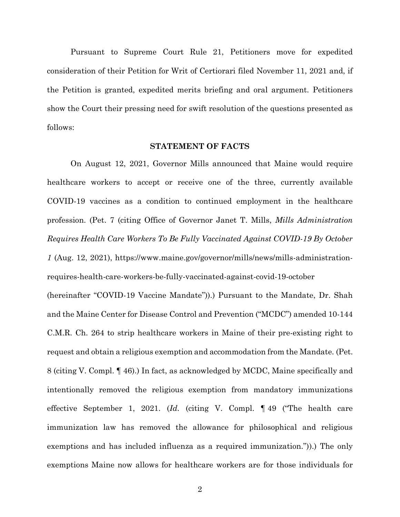Pursuant to Supreme Court Rule 21, Petitioners move for expedited consideration of their Petition for Writ of Certiorari filed November 11, 2021 and, if the Petition is granted, expedited merits briefing and oral argument. Petitioners show the Court their pressing need for swift resolution of the questions presented as follows:

#### **STATEMENT OF FACTS**

On August 12, 2021, Governor Mills announced that Maine would require healthcare workers to accept or receive one of the three, currently available COVID-19 vaccines as a condition to continued employment in the healthcare profession. (Pet. 7 (citing Office of Governor Janet T. Mills, *Mills Administration Requires Health Care Workers To Be Fully Vaccinated Against COVID-19 By October 1* (Aug. 12, 2021), https://www.maine.gov/governor/mills/news/mills-administrationrequires-health-care-workers-be-fully-vaccinated-against-covid-19-october

(hereinafter "COVID-19 Vaccine Mandate")).) Pursuant to the Mandate, Dr. Shah and the Maine Center for Disease Control and Prevention ("MCDC") amended 10-144 C.M.R. Ch. 264 to strip healthcare workers in Maine of their pre-existing right to request and obtain a religious exemption and accommodation from the Mandate. (Pet. 8 (citing V. Compl. ¶ 46).) In fact, as acknowledged by MCDC, Maine specifically and intentionally removed the religious exemption from mandatory immunizations effective September 1, 2021. (*Id.* (citing V. Compl. ¶ 49 ("The health care immunization law has removed the allowance for philosophical and religious exemptions and has included influenza as a required immunization.")).) The only exemptions Maine now allows for healthcare workers are for those individuals for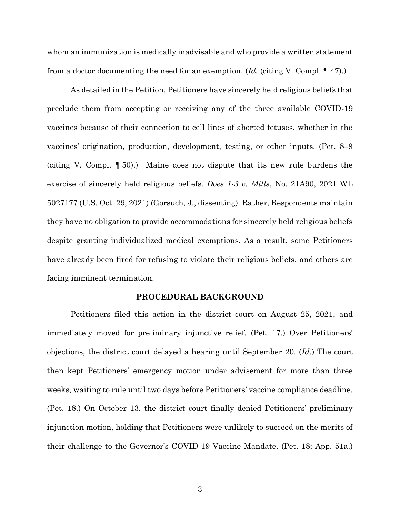whom an immunization is medically inadvisable and who provide a written statement from a doctor documenting the need for an exemption. (*Id.* (citing V. Compl. ¶ 47).)

As detailed in the Petition, Petitioners have sincerely held religious beliefs that preclude them from accepting or receiving any of the three available COVID-19 vaccines because of their connection to cell lines of aborted fetuses, whether in the vaccines' origination, production, development, testing, or other inputs. (Pet. 8–9 (citing V. Compl. ¶ 50).) Maine does not dispute that its new rule burdens the exercise of sincerely held religious beliefs. *Does 1-3 v. Mills*, No. 21A90, 2021 WL 5027177 (U.S. Oct. 29, 2021) (Gorsuch, J., dissenting). Rather, Respondents maintain they have no obligation to provide accommodations for sincerely held religious beliefs despite granting individualized medical exemptions. As a result, some Petitioners have already been fired for refusing to violate their religious beliefs, and others are facing imminent termination.

### **PROCEDURAL BACKGROUND**

Petitioners filed this action in the district court on August 25, 2021, and immediately moved for preliminary injunctive relief. (Pet. 17.) Over Petitioners' objections, the district court delayed a hearing until September 20. (*Id.*) The court then kept Petitioners' emergency motion under advisement for more than three weeks, waiting to rule until two days before Petitioners' vaccine compliance deadline. (Pet. 18.) On October 13, the district court finally denied Petitioners' preliminary injunction motion, holding that Petitioners were unlikely to succeed on the merits of their challenge to the Governor's COVID-19 Vaccine Mandate. (Pet. 18; App. 51a.)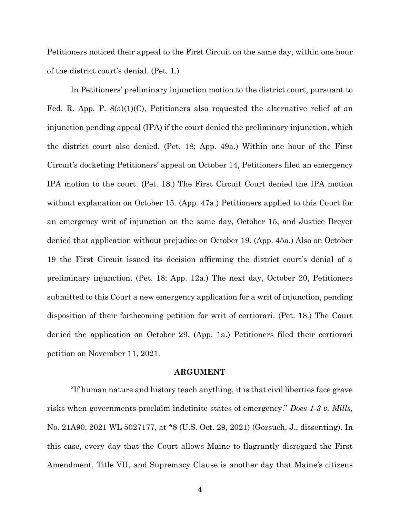Petitioners noticed their appeal to the First Circuit on the same day, within one hour of the district court's denial. (Pet. 1.)

In Petitioners' preliminary injunction motion to the district court, pursuant to Fed. R. App. P.  $S(a)(1)(C)$ , Petitioners also requested the alternative relief of an injunction pending appeal (IPA) if the court denied the preliminary injunction, which the district court also denied. (Pet. 18; App. 49a.) Within one hour of the First Circuit's docketing Petitioners' appeal on October 14, Petitioners filed an emergency IPA motion to the court. (Pet. 18.) The First Circuit Court denied the IPA motion without explanation on October 15. (App. 47a.) Petitioners applied to this Court for an emergency writ of injunction on the same day, October 15, and Justice Breyer denied that application without prejudice on October 19. (App. 45a.) Also on October 19 the First Circuit issued its decision affirming the district court's denial of a preliminary injunction. (Pet. 18; App. 12a.) The next day, October 20, Petitioners submitted to this Court a new emergency application for a writ of injunction, pending disposition of their forthcoming petition for writ of certiorari. (Pet. 18.) The Court denied the application on October 29. (App. 1a.) Petitioners filed their certiorari petition on November 11, 2021.

#### **ARGUMENT**

"If human nature and history teach anything, it is that civil liberties face grave risks when governments proclaim indefinite states of emergency." *Does 1-3 v. Mills,*  No. 21A90, 2021 WL 5027177, at \*8 (U.S. Oct. 29, 2021) (Gorsuch, J., dissenting). In this case, every day that the Court allows Maine to flagrantly disregard the First Amendment, Title VII, and Supremacy Clause is another day that Maine's citizens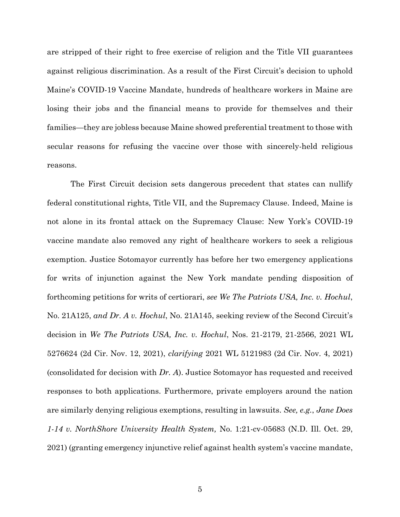are stripped of their right to free exercise of religion and the Title VII guarantees against religious discrimination. As a result of the First Circuit's decision to uphold Maine's COVID-19 Vaccine Mandate, hundreds of healthcare workers in Maine are losing their jobs and the financial means to provide for themselves and their families—they are jobless because Maine showed preferential treatment to those with secular reasons for refusing the vaccine over those with sincerely-held religious reasons.

The First Circuit decision sets dangerous precedent that states can nullify federal constitutional rights, Title VII, and the Supremacy Clause. Indeed, Maine is not alone in its frontal attack on the Supremacy Clause: New York's COVID-19 vaccine mandate also removed any right of healthcare workers to seek a religious exemption. Justice Sotomayor currently has before her two emergency applications for writs of injunction against the New York mandate pending disposition of forthcoming petitions for writs of certiorari, *see We The Patriots USA, Inc. v. Hochul*, No. 21A125, *and Dr. A v. Hochul*, No. 21A145, seeking review of the Second Circuit's decision in *We The Patriots USA, Inc. v. Hochul*, Nos. 21-2179, 21-2566, 2021 WL 5276624 (2d Cir. Nov. 12, 2021), *clarifying* 2021 WL 5121983 (2d Cir. Nov. 4, 2021) (consolidated for decision with *Dr. A*). Justice Sotomayor has requested and received responses to both applications. Furthermore, private employers around the nation are similarly denying religious exemptions, resulting in lawsuits. *See, e.g.*, *Jane Does 1-14 v. NorthShore University Health System,* No. 1:21-cv-05683 (N.D. Ill. Oct. 29, 2021) (granting emergency injunctive relief against health system's vaccine mandate,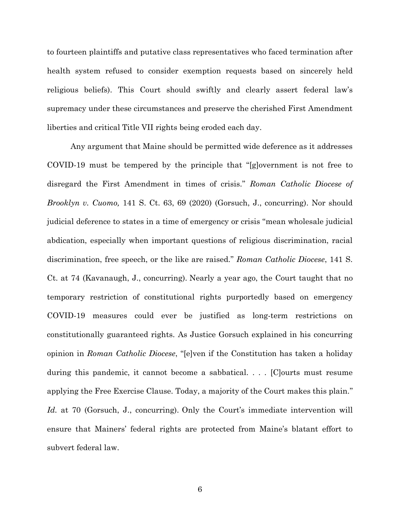to fourteen plaintiffs and putative class representatives who faced termination after health system refused to consider exemption requests based on sincerely held religious beliefs). This Court should swiftly and clearly assert federal law's supremacy under these circumstances and preserve the cherished First Amendment liberties and critical Title VII rights being eroded each day.

Any argument that Maine should be permitted wide deference as it addresses COVID-19 must be tempered by the principle that "[g]overnment is not free to disregard the First Amendment in times of crisis." *Roman Catholic Diocese of Brooklyn v. Cuomo,* 141 S. Ct. 63, 69 (2020) (Gorsuch, J., concurring). Nor should judicial deference to states in a time of emergency or crisis "mean wholesale judicial abdication, especially when important questions of religious discrimination, racial discrimination, free speech, or the like are raised." *Roman Catholic Diocese*, 141 S. Ct. at 74 (Kavanaugh, J., concurring). Nearly a year ago, the Court taught that no temporary restriction of constitutional rights purportedly based on emergency COVID-19 measures could ever be justified as long-term restrictions on constitutionally guaranteed rights. As Justice Gorsuch explained in his concurring opinion in *Roman Catholic Diocese*, "[e]ven if the Constitution has taken a holiday during this pandemic, it cannot become a sabbatical. . . . [C]ourts must resume applying the Free Exercise Clause. Today, a majority of the Court makes this plain." *Id.* at 70 (Gorsuch, J., concurring). Only the Court's immediate intervention will ensure that Mainers' federal rights are protected from Maine's blatant effort to subvert federal law.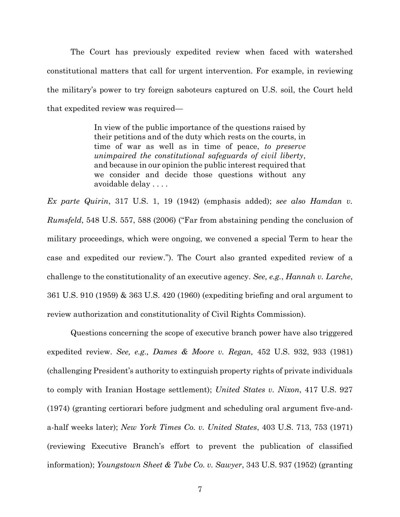The Court has previously expedited review when faced with watershed constitutional matters that call for urgent intervention. For example, in reviewing the military's power to try foreign saboteurs captured on U.S. soil, the Court held that expedited review was required—

> In view of the public importance of the questions raised by their petitions and of the duty which rests on the courts, in time of war as well as in time of peace, *to preserve unimpaired the constitutional safeguards of civil liberty*, and because in our opinion the public interest required that we consider and decide those questions without any avoidable delay . . . .

*Ex parte Quirin*, 317 U.S. 1, 19 (1942) (emphasis added); *see also Hamdan v. Rumsfeld*, 548 U.S. 557, 588 (2006) ("Far from abstaining pending the conclusion of military proceedings, which were ongoing, we convened a special Term to hear the case and expedited our review."). The Court also granted expedited review of a challenge to the constitutionality of an executive agency. *See, e.g.*, *Hannah v. Larche*, 361 U.S. 910 (1959) & 363 U.S. 420 (1960) (expediting briefing and oral argument to review authorization and constitutionality of Civil Rights Commission).

Questions concerning the scope of executive branch power have also triggered expedited review. *See, e.g., Dames & Moore v. Regan,* 452 U.S. 932, 933 (1981) (challenging President's authority to extinguish property rights of private individuals to comply with Iranian Hostage settlement); *United States v. Nixon*, 417 U.S. 927 (1974) (granting certiorari before judgment and scheduling oral argument five-anda-half weeks later); *New York Times Co. v. United States*, 403 U.S. 713, 753 (1971) (reviewing Executive Branch's effort to prevent the publication of classified information); *Youngstown Sheet & Tube Co. v. Sawyer*, 343 U.S. 937 (1952) (granting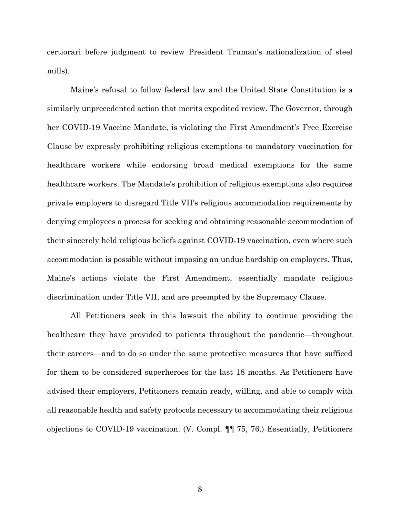certiorari before judgment to review President Truman's nationalization of steel mills).

Maine's refusal to follow federal law and the United State Constitution is a similarly unprecedented action that merits expedited review. The Governor, through her COVID-19 Vaccine Mandate, is violating the First Amendment's Free Exercise Clause by expressly prohibiting religious exemptions to mandatory vaccination for healthcare workers while endorsing broad medical exemptions for the same healthcare workers. The Mandate's prohibition of religious exemptions also requires private employers to disregard Title VII's religious accommodation requirements by denying employees a process for seeking and obtaining reasonable accommodation of their sincerely held religious beliefs against COVID-19 vaccination, even where such accommodation is possible without imposing an undue hardship on employers. Thus, Maine's actions violate the First Amendment, essentially mandate religious discrimination under Title VII, and are preempted by the Supremacy Clause.

All Petitioners seek in this lawsuit the ability to continue providing the healthcare they have provided to patients throughout the pandemic—throughout their careers—and to do so under the same protective measures that have sufficed for them to be considered superheroes for the last 18 months. As Petitioners have advised their employers, Petitioners remain ready, willing, and able to comply with all reasonable health and safety protocols necessary to accommodating their religious objections to COVID-19 vaccination. (V. Compl. ¶¶ 75, 76.) Essentially, Petitioners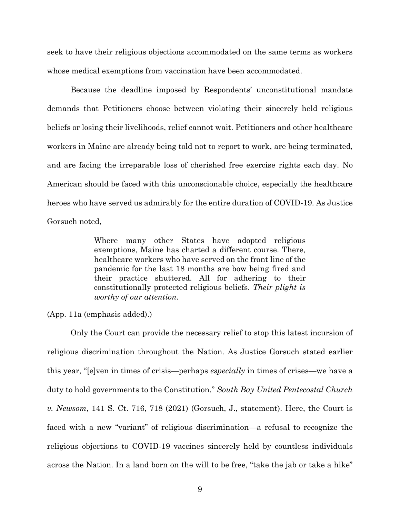seek to have their religious objections accommodated on the same terms as workers whose medical exemptions from vaccination have been accommodated.

Because the deadline imposed by Respondents' unconstitutional mandate demands that Petitioners choose between violating their sincerely held religious beliefs or losing their livelihoods, relief cannot wait. Petitioners and other healthcare workers in Maine are already being told not to report to work, are being terminated, and are facing the irreparable loss of cherished free exercise rights each day. No American should be faced with this unconscionable choice, especially the healthcare heroes who have served us admirably for the entire duration of COVID-19. As Justice Gorsuch noted,

> Where many other States have adopted religious exemptions, Maine has charted a different course. There, healthcare workers who have served on the front line of the pandemic for the last 18 months are bow being fired and their practice shuttered. All for adhering to their constitutionally protected religious beliefs. *Their plight is worthy of our attention*.

(App. 11a (emphasis added).)

Only the Court can provide the necessary relief to stop this latest incursion of religious discrimination throughout the Nation. As Justice Gorsuch stated earlier this year, "[e]ven in times of crisis—perhaps *especially* in times of crises—we have a duty to hold governments to the Constitution." *South Bay United Pentecostal Church v. Newsom*, 141 S. Ct. 716, 718 (2021) (Gorsuch, J., statement). Here, the Court is faced with a new "variant" of religious discrimination—a refusal to recognize the religious objections to COVID-19 vaccines sincerely held by countless individuals across the Nation. In a land born on the will to be free, "take the jab or take a hike"